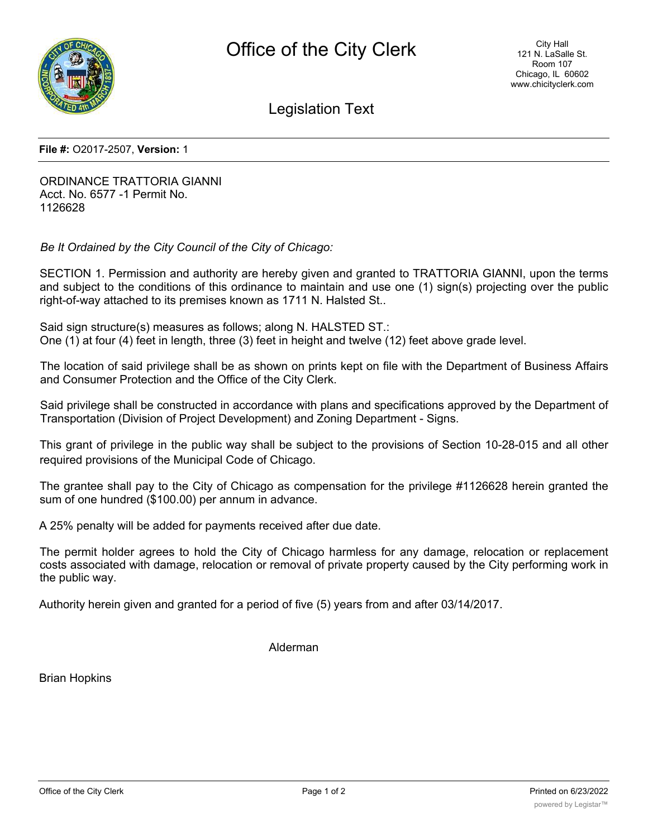

Legislation Text

**File #:** O2017-2507, **Version:** 1

ORDINANCE TRATTORIA GIANNI Acct. No. 6577 -1 Permit No. 1126628

*Be It Ordained by the City Council of the City of Chicago:*

SECTION 1. Permission and authority are hereby given and granted to TRATTORIA GIANNI, upon the terms and subject to the conditions of this ordinance to maintain and use one (1) sign(s) projecting over the public right-of-way attached to its premises known as 1711 N. Halsted St..

Said sign structure(s) measures as follows; along N. HALSTED ST.: One (1) at four (4) feet in length, three (3) feet in height and twelve (12) feet above grade level.

The location of said privilege shall be as shown on prints kept on file with the Department of Business Affairs and Consumer Protection and the Office of the City Clerk.

Said privilege shall be constructed in accordance with plans and specifications approved by the Department of Transportation (Division of Project Development) and Zoning Department - Signs.

This grant of privilege in the public way shall be subject to the provisions of Section 10-28-015 and all other required provisions of the Municipal Code of Chicago.

The grantee shall pay to the City of Chicago as compensation for the privilege #1126628 herein granted the sum of one hundred (\$100.00) per annum in advance.

A 25% penalty will be added for payments received after due date.

The permit holder agrees to hold the City of Chicago harmless for any damage, relocation or replacement costs associated with damage, relocation or removal of private property caused by the City performing work in the public way.

Authority herein given and granted for a period of five (5) years from and after 03/14/2017.

Alderman

Brian Hopkins